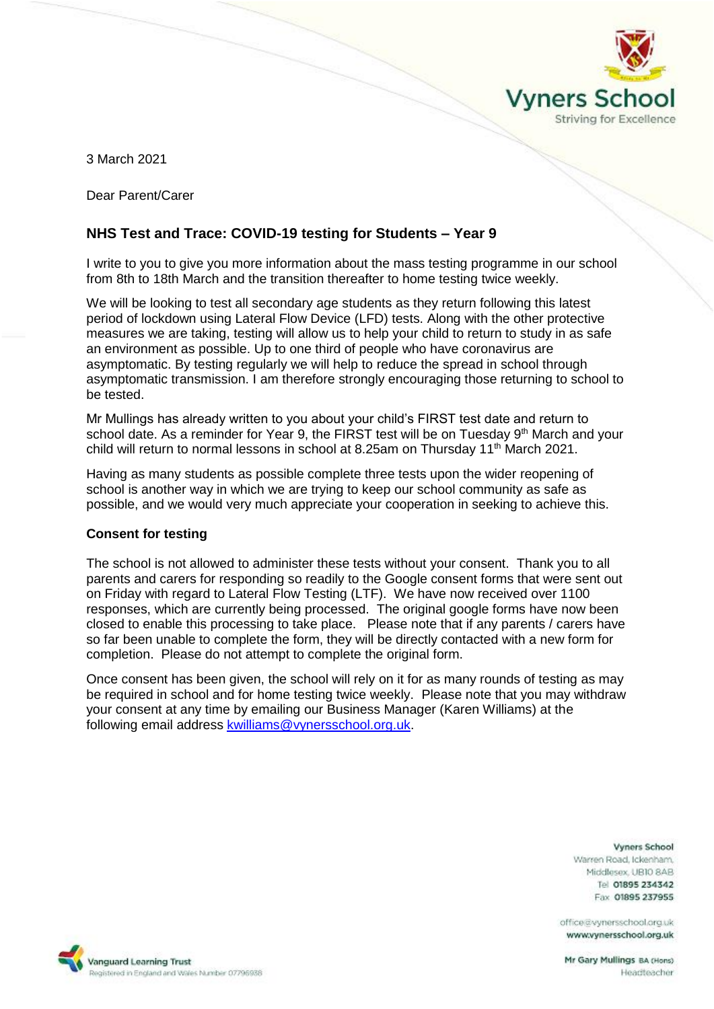

3 March 2021

Dear Parent/Carer

# **NHS Test and Trace: COVID-19 testing for Students – Year 9**

I write to you to give you more information about the mass testing programme in our school from 8th to 18th March and the transition thereafter to home testing twice weekly.

We will be looking to test all secondary age students as they return following this latest period of lockdown using Lateral Flow Device (LFD) tests. Along with the other protective measures we are taking, testing will allow us to help your child to return to study in as safe an environment as possible. Up to one third of people who have coronavirus are asymptomatic. By testing regularly we will help to reduce the spread in school through asymptomatic transmission. I am therefore strongly encouraging those returning to school to be tested.

Mr Mullings has already written to you about your child's FIRST test date and return to school date. As a reminder for Year 9, the FIRST test will be on Tuesday  $9<sup>th</sup>$  March and your child will return to normal lessons in school at 8.25am on Thursday 11<sup>th</sup> March 2021.

Having as many students as possible complete three tests upon the wider reopening of school is another way in which we are trying to keep our school community as safe as possible, and we would very much appreciate your cooperation in seeking to achieve this.

## **Consent for testing**

The school is not allowed to administer these tests without your consent. Thank you to all parents and carers for responding so readily to the Google consent forms that were sent out on Friday with regard to Lateral Flow Testing (LTF). We have now received over 1100 responses, which are currently being processed. The original google forms have now been closed to enable this processing to take place. Please note that if any parents / carers have so far been unable to complete the form, they will be directly contacted with a new form for completion. Please do not attempt to complete the original form.

Once consent has been given, the school will rely on it for as many rounds of testing as may be required in school and for home testing twice weekly. Please note that you may withdraw your consent at any time by emailing our Business Manager (Karen Williams) at the following email address [kwilliams@vynersschool.org.uk.](mailto:kwilliams@vynersschool.org.uk)

#### **Vyners School**

Warren Road, Ickenham. Middlesex UBIO 8AB Tel 01895 234342 Fax 01895 237955

office@vynersschool.org.uk www.vynersschool.org.uk

Mr Gary Mullings BA (Hons) Headteacher

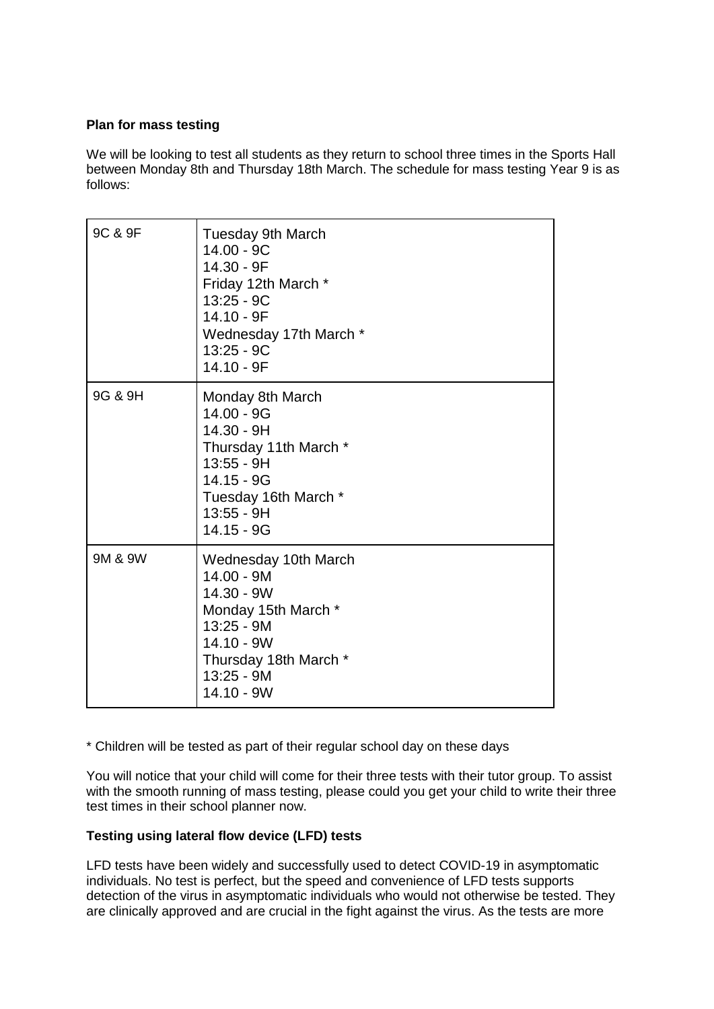## **Plan for mass testing**

We will be looking to test all students as they return to school three times in the Sports Hall between Monday 8th and Thursday 18th March. The schedule for mass testing Year 9 is as follows:

| 9C & 9F | <b>Tuesday 9th March</b><br>14.00 - 9C<br>14.30 - 9F<br>Friday 12th March *<br>$13:25 - 9C$<br>14.10 - 9F<br>Wednesday 17th March *<br>13:25 - 9C<br>14.10 - 9F |
|---------|-----------------------------------------------------------------------------------------------------------------------------------------------------------------|
| 9G & 9H | Monday 8th March<br>14.00 - 9G<br>14.30 - 9H<br>Thursday 11th March *<br>13:55 - 9H<br>14.15 - 9G<br>Tuesday 16th March *<br>$13:55 - 9H$<br>$14.15 - 9G$       |
| 9M & 9W | Wednesday 10th March<br>14.00 - 9M<br>$14.30 - 9W$<br>Monday 15th March *<br>13:25 - 9M<br>$14.10 - 9W$<br>Thursday 18th March *<br>13:25 - 9M<br>14.10 - 9W    |

\* Children will be tested as part of their regular school day on these days

You will notice that your child will come for their three tests with their tutor group. To assist with the smooth running of mass testing, please could you get your child to write their three test times in their school planner now.

## **Testing using lateral flow device (LFD) tests**

LFD tests have been widely and successfully used to detect COVID-19 in asymptomatic individuals. No test is perfect, but the speed and convenience of LFD tests supports detection of the virus in asymptomatic individuals who would not otherwise be tested. They are clinically approved and are crucial in the fight against the virus. As the tests are more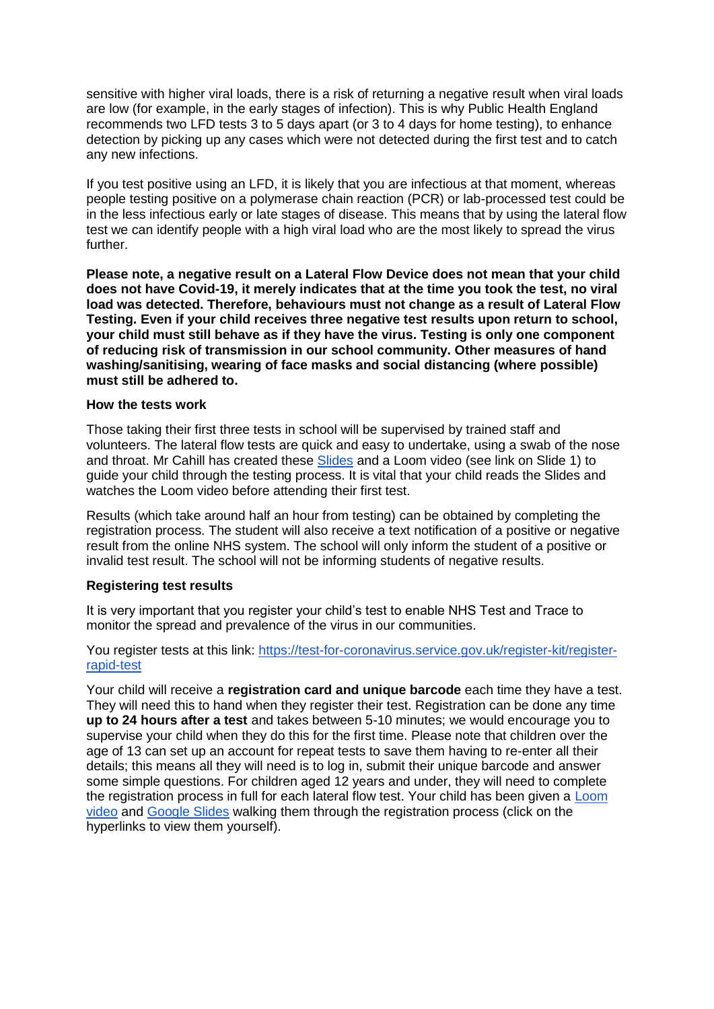sensitive with higher viral loads, there is a risk of returning a negative result when viral loads are low (for example, in the early stages of infection). This is why Public Health England recommends two LFD tests 3 to 5 days apart (or 3 to 4 days for home testing), to enhance detection by picking up any cases which were not detected during the first test and to catch any new infections.

If you test positive using an LFD, it is likely that you are infectious at that moment, whereas people testing positive on a polymerase chain reaction (PCR) or lab-processed test could be in the less infectious early or late stages of disease. This means that by using the lateral flow test we can identify people with a high viral load who are the most likely to spread the virus further.

**Please note, a negative result on a Lateral Flow Device does not mean that your child does not have Covid-19, it merely indicates that at the time you took the test, no viral load was detected. Therefore, behaviours must not change as a result of Lateral Flow Testing. Even if your child receives three negative test results upon return to school, your child must still behave as if they have the virus. Testing is only one component of reducing risk of transmission in our school community. Other measures of hand washing/sanitising, wearing of face masks and social distancing (where possible) must still be adhered to.**

#### **How the tests work**

Those taking their first three tests in school will be supervised by trained staff and volunteers. The lateral flow tests are quick and easy to undertake, using a swab of the nose and throat. Mr Cahill has created these [Slides](https://docs.google.com/presentation/d/1gz1t-rqJkTcXn6FmRusH9uKAaRId2x0yOQJAcbk5ymU/edit?usp=sharing) and a Loom video (see link on Slide 1) to guide your child through the testing process. It is vital that your child reads the Slides and watches the Loom video before attending their first test.

Results (which take around half an hour from testing) can be obtained by completing the registration process. The student will also receive a text notification of a positive or negative result from the online NHS system. The school will only inform the student of a positive or invalid test result. The school will not be informing students of negative results.

#### **Registering test results**

It is very important that you register your child's test to enable NHS Test and Trace to monitor the spread and prevalence of the virus in our communities.

You register tests at this link: [https://test-for-coronavirus.service.gov.uk/register-kit/register](https://test-for-coronavirus.service.gov.uk/register-kit/register-rapid-test)[rapid-test](https://test-for-coronavirus.service.gov.uk/register-kit/register-rapid-test)

Your child will receive a **registration card and unique barcode** each time they have a test. They will need this to hand when they register their test. Registration can be done any time **up to 24 hours after a test** and takes between 5-10 minutes; we would encourage you to supervise your child when they do this for the first time. Please note that children over the age of 13 can set up an account for repeat tests to save them having to re-enter all their details; this means all they will need is to log in, submit their unique barcode and answer some simple questions. For children aged 12 years and under, they will need to complete the registration process in full for each lateral flow test. Your child has been given a [Loom](https://www.loom.com/share/aea42cd2f9124e51b03fe8972f9a3583)  [video](https://www.loom.com/share/aea42cd2f9124e51b03fe8972f9a3583) and [Google Slides](https://docs.google.com/presentation/d/11chsOQ94u8ECZV-K7yZ9nf1DvangLK9Y0KLWEpb9z-A/edit?usp=sharing) walking them through the registration process (click on the hyperlinks to view them yourself).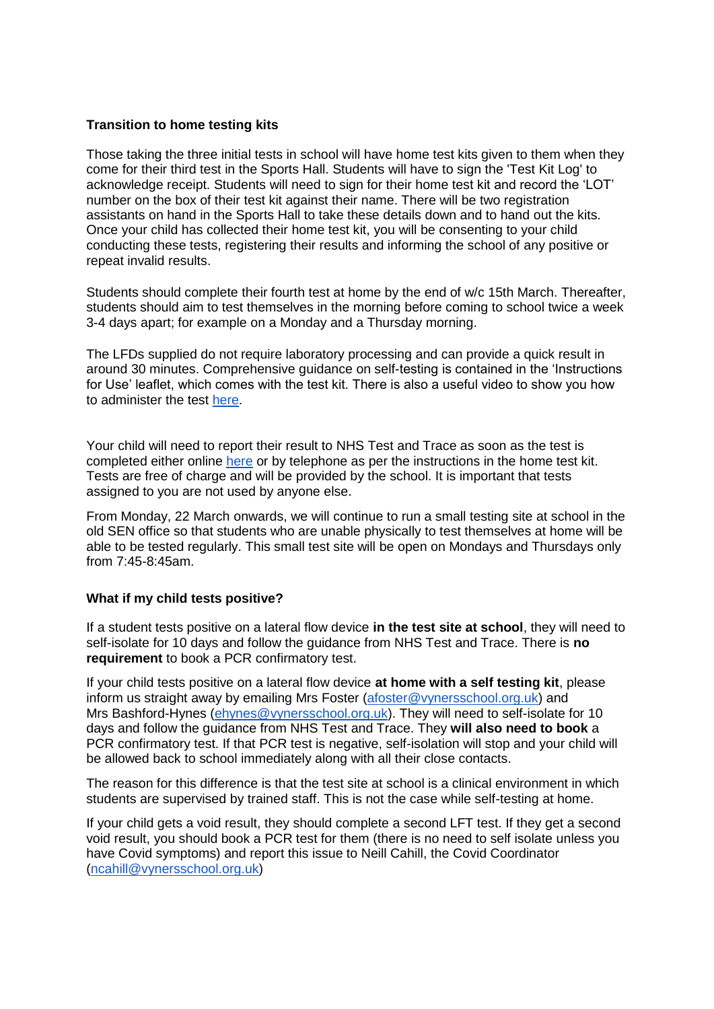## **Transition to home testing kits**

Those taking the three initial tests in school will have home test kits given to them when they come for their third test in the Sports Hall. Students will have to sign the 'Test Kit Log' to acknowledge receipt. Students will need to sign for their home test kit and record the 'LOT' number on the box of their test kit against their name. There will be two registration assistants on hand in the Sports Hall to take these details down and to hand out the kits. Once your child has collected their home test kit, you will be consenting to your child conducting these tests, registering their results and informing the school of any positive or repeat invalid results.

Students should complete their fourth test at home by the end of w/c 15th March. Thereafter, students should aim to test themselves in the morning before coming to school twice a week 3-4 days apart; for example on a Monday and a Thursday morning.

The LFDs supplied do not require laboratory processing and can provide a quick result in around 30 minutes. Comprehensive guidance on self-testing is contained in the 'Instructions for Use' leaflet, which comes with the test kit. There is also a useful video to show you how to administer the test [here.](https://www.youtube.com/playlist?list=PLvaBZskxS7tzQYlVg7lwH5uxAD9UrSzGJ)

Your child will need to report their result to NHS Test and Trace as soon as the test is completed either online [here](https://www.gov.uk/report-covid19-result) or by telephone as per the instructions in the home test kit. Tests are free of charge and will be provided by the school. It is important that tests assigned to you are not used by anyone else.

From Monday, 22 March onwards, we will continue to run a small testing site at school in the old SEN office so that students who are unable physically to test themselves at home will be able to be tested regularly. This small test site will be open on Mondays and Thursdays only from 7:45-8:45am.

## **What if my child tests positive?**

If a student tests positive on a lateral flow device **in the test site at school**, they will need to self-isolate for 10 days and follow the guidance from NHS Test and Trace. There is **no requirement** to book a PCR confirmatory test.

If your child tests positive on a lateral flow device **at home with a self testing kit**, please inform us straight away by emailing Mrs Foster [\(afoster@vynersschool.org.uk\)](mailto:afoster@vynersschool.org.uk) and Mrs Bashford-Hynes [\(ehynes@vynersschool.org.uk\)](mailto:ehynes@vynersschool.org.uk). They will need to self-isolate for 10 days and follow the guidance from NHS Test and Trace. They **will also need to book** a PCR confirmatory test. If that PCR test is negative, self-isolation will stop and your child will be allowed back to school immediately along with all their close contacts.

The reason for this difference is that the test site at school is a clinical environment in which students are supervised by trained staff. This is not the case while self-testing at home.

If your child gets a void result, they should complete a second LFT test. If they get a second void result, you should book a PCR test for them (there is no need to self isolate unless you have Covid symptoms) and report this issue to Neill Cahill, the Covid Coordinator [\(ncahill@vynersschool.org.uk\)](mailto:ncahill@vynersschool.org.uk)